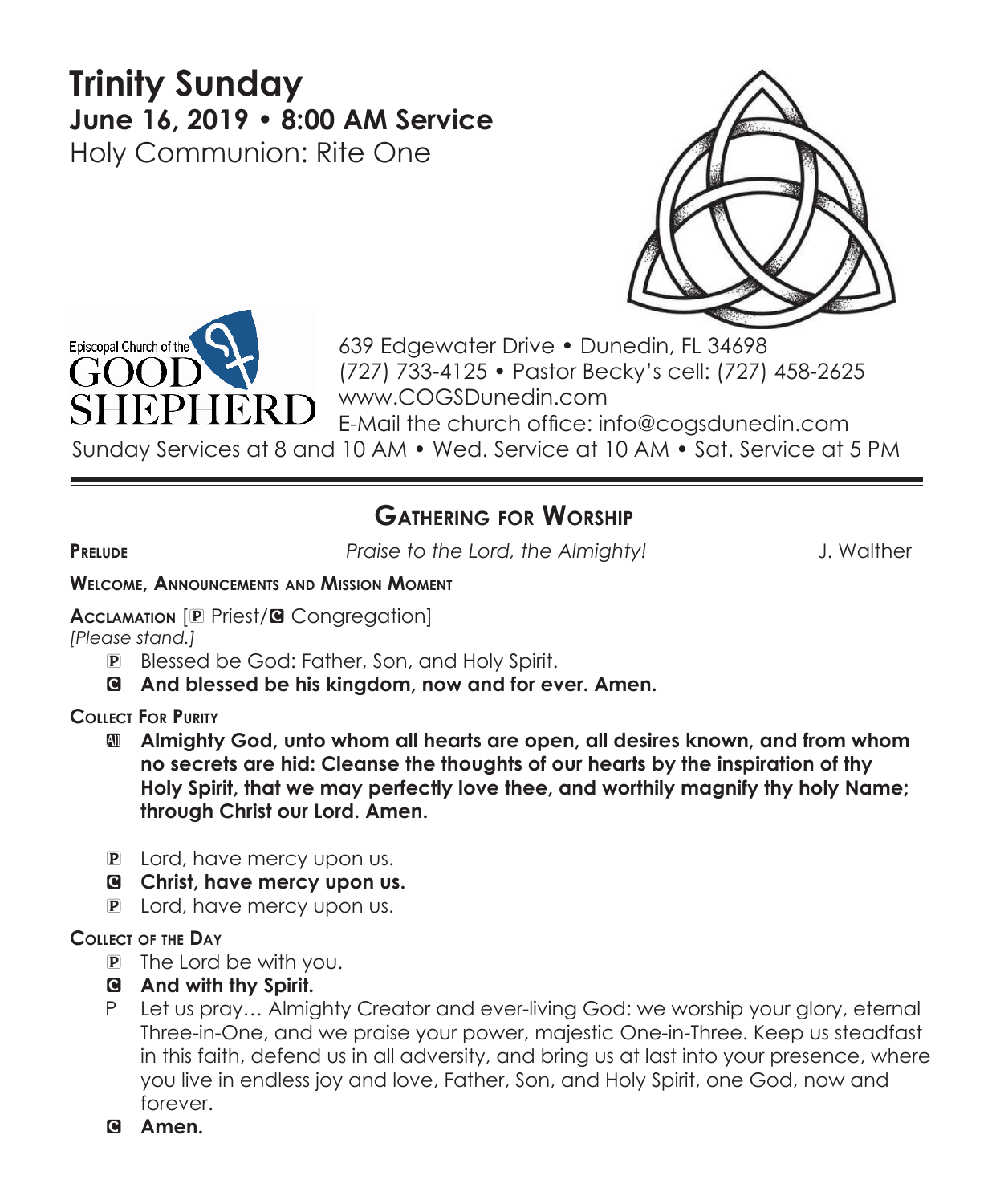# **Trinity Sunday June 16, 2019 • 8:00 AM Service**  Holy Communion: Rite One





639 Edgewater Drive • Dunedin, FL 34698 (727) 733-4125 • Pastor Becky's cell: (727) 458-2625 www.COGSDunedin.com E-Mail the church office: info@cogsdunedin.com

Sunday Services at 8 and 10 AM • Wed. Service at 10 AM • Sat. Service at 5 PM

# **Gathering for Worship**

**Prelude** *Praise to the Lord, the Almighty!* J. Walther

#### **Welcome, Announcements and Mission Moment**

**Acclamation** [P Priest/**G** Congregation]

*[Please stand.]* 

- P Blessed be God: Father, Son, and Holy Spirit.
- C **And blessed be his kingdom, now and for ever. Amen.**

**Collect For Purity**

- a **Almighty God, unto whom all hearts are open, all desires known, and from whom no secrets are hid: Cleanse the thoughts of our hearts by the inspiration of thy Holy Spirit, that we may perfectly love thee, and worthily magnify thy holy Name; through Christ our Lord. Amen.**
- **P** Lord, have mercy upon us.
- C **Christ, have mercy upon us.**
- P Lord, have mercy upon us.

#### **Collect of the Day**

- P The Lord be with you.
- C **And with thy Spirit.**
- P Let us pray… Almighty Creator and ever-living God: we worship your glory, eternal Three-in-One, and we praise your power, majestic One-in-Three. Keep us steadfast in this faith, defend us in all adversity, and bring us at last into your presence, where you live in endless joy and love, Father, Son, and Holy Spirit, one God, now and forever.
- C **Amen.**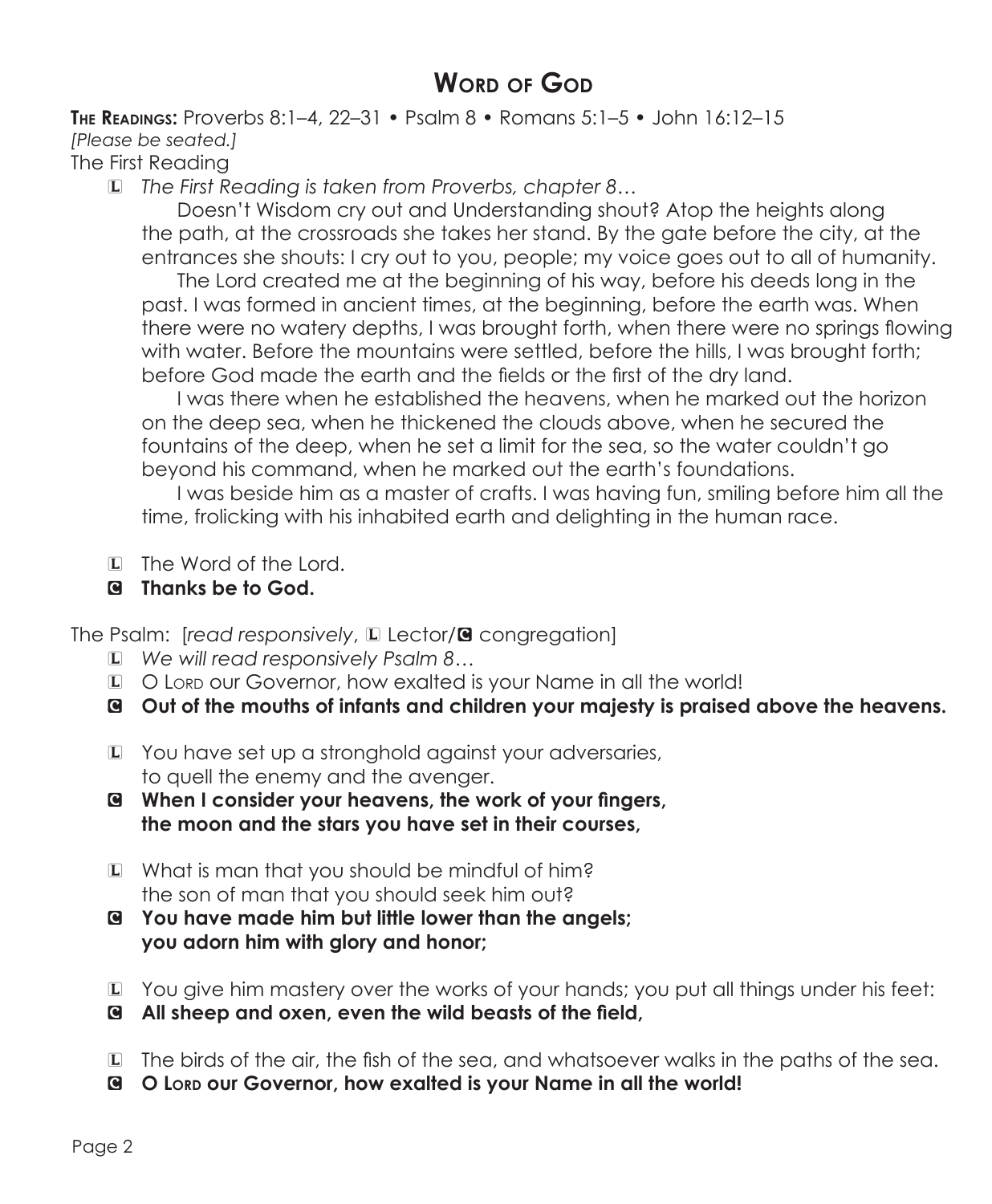# **Word of God**

**The Readings:** Proverbs 8:1–4, 22–31 • Psalm 8 • Romans 5:1–5 • John 16:12–15 *[Please be seated.]*

# The First Reading

L *The First Reading is taken from Proverbs, chapter 8…*

 Doesn't Wisdom cry out and Understanding shout? Atop the heights along the path, at the crossroads she takes her stand. By the gate before the city, at the entrances she shouts: I cry out to you, people; my voice goes out to all of humanity.

 The Lord created me at the beginning of his way, before his deeds long in the past. I was formed in ancient times, at the beginning, before the earth was. When there were no watery depths, I was brought forth, when there were no springs flowing with water. Before the mountains were settled, before the hills, I was brought forth; before God made the earth and the fields or the first of the dry land.

 I was there when he established the heavens, when he marked out the horizon on the deep sea, when he thickened the clouds above, when he secured the fountains of the deep, when he set a limit for the sea, so the water couldn't go beyond his command, when he marked out the earth's foundations.

 I was beside him as a master of crafts. I was having fun, smiling before him all the time, frolicking with his inhabited earth and delighting in the human race.

- L The Word of the Lord.
- C **Thanks be to God.**

The Psalm: [*read responsively*, La Lector/**G** congregation]

- L *We will read responsively Psalm 8…*
- L O Lord our Governor, how exalted is your Name in all the world!
- C **Out of the mouths of infants and children your majesty is praised above the heavens.**
- L You have set up a stronghold against your adversaries, to quell the enemy and the avenger.
- C **When I consider your heavens, the work of your fingers, the moon and the stars you have set in their courses,**
- L What is man that you should be mindful of him? the son of man that you should seek him out?
- C **You have made him but little lower than the angels; you adorn him with glory and honor;**
- L You give him mastery over the works of your hands; you put all things under his feet:
- C **All sheep and oxen, even the wild beasts of the field,**
- L The birds of the air, the fish of the sea, and whatsoever walks in the paths of the sea.
- C **O Lord our Governor, how exalted is your Name in all the world!**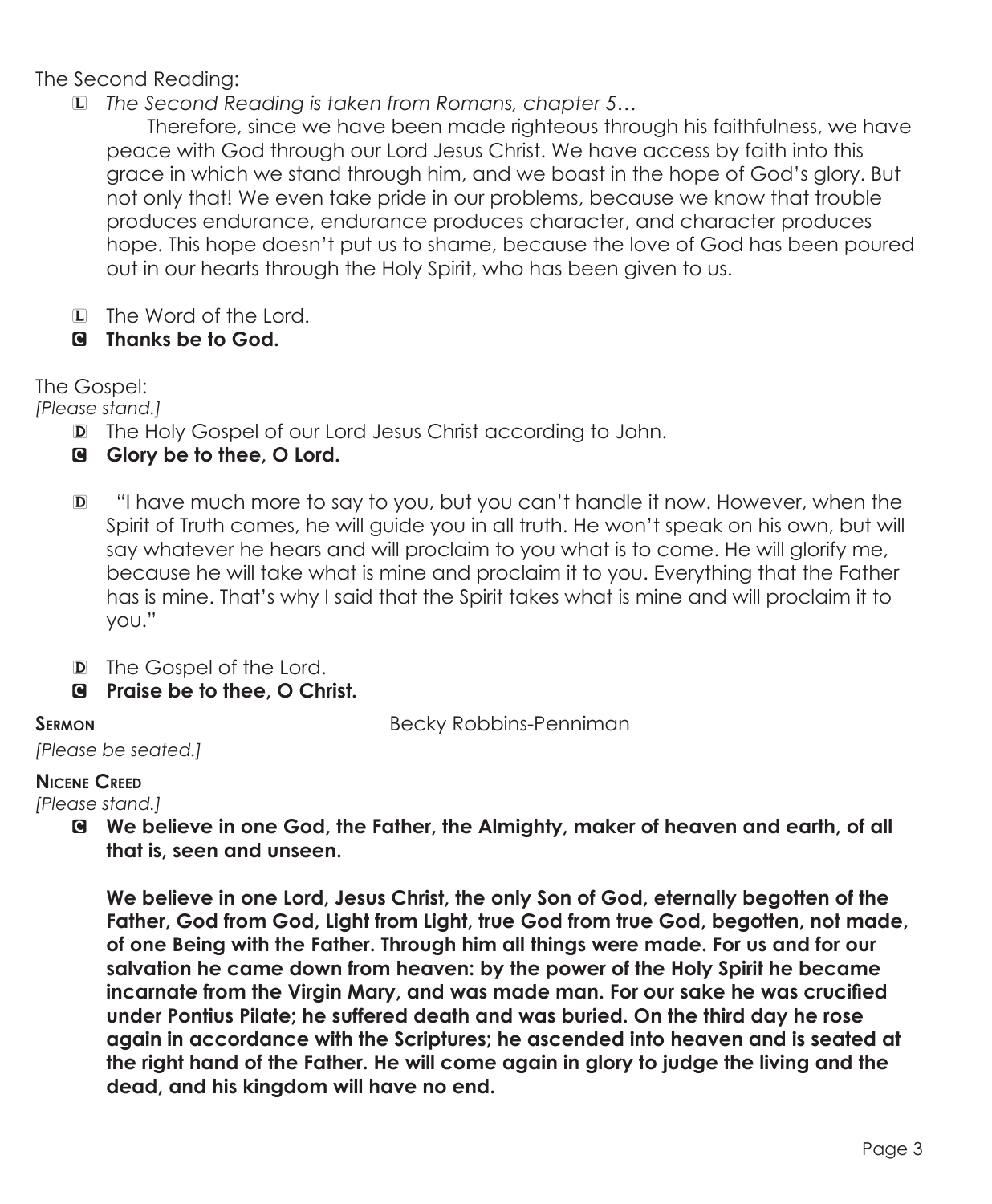The Second Reading:

L *The Second Reading is taken from Romans, chapter 5…*

 Therefore, since we have been made righteous through his faithfulness, we have peace with God through our Lord Jesus Christ. We have access by faith into this grace in which we stand through him, and we boast in the hope of God's glory. But not only that! We even take pride in our problems, because we know that trouble produces endurance, endurance produces character, and character produces hope. This hope doesn't put us to shame, because the love of God has been poured out in our hearts through the Holy Spirit, who has been given to us.

- L The Word of the Lord.
- C **Thanks be to God.**

The Gospel:

*[Please stand.]*

- D The Holy Gospel of our Lord Jesus Christ according to John.
- C **Glory be to thee, O Lord.**
- D "I have much more to say to you, but you can't handle it now. However, when the Spirit of Truth comes, he will guide you in all truth. He won't speak on his own, but will say whatever he hears and will proclaim to you what is to come. He will glorify me, because he will take what is mine and proclaim it to you. Everything that the Father has is mine. That's why I said that the Spirit takes what is mine and will proclaim it to you."
- D The Gospel of the Lord.
- C **Praise be to thee, O Christ.**

**SERMON Becky Robbins-Penniman** 

*[Please be seated.]*

#### **Nicene Creed**

*[Please stand.]*

C **We believe in one God, the Father, the Almighty, maker of heaven and earth, of all that is, seen and unseen.** 

 **We believe in one Lord, Jesus Christ, the only Son of God, eternally begotten of the Father, God from God, Light from Light, true God from true God, begotten, not made, of one Being with the Father. Through him all things were made. For us and for our salvation he came down from heaven: by the power of the Holy Spirit he became incarnate from the Virgin Mary, and was made man. For our sake he was crucified under Pontius Pilate; he suffered death and was buried. On the third day he rose again in accordance with the Scriptures; he ascended into heaven and is seated at the right hand of the Father. He will come again in glory to judge the living and the dead, and his kingdom will have no end.**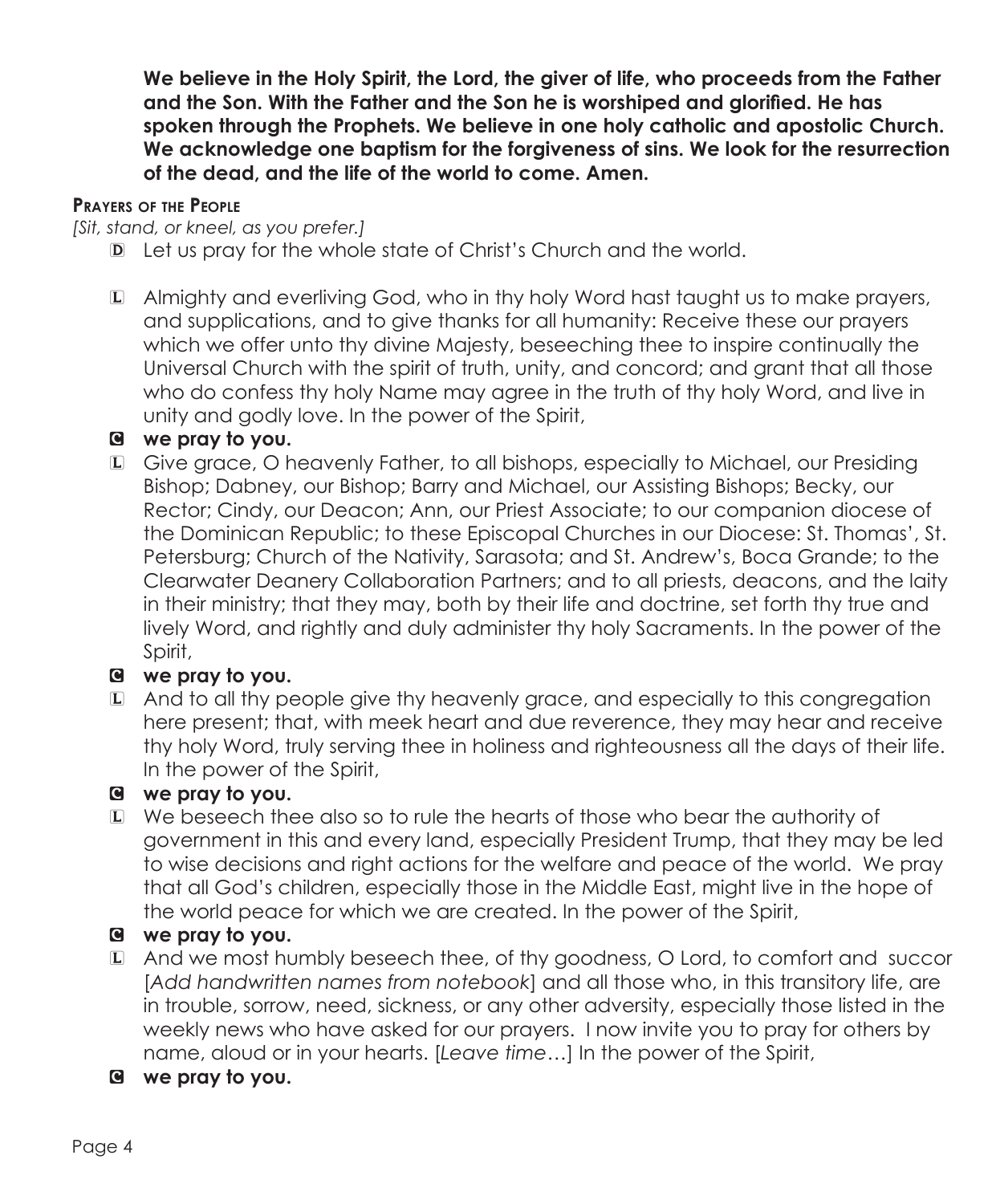**We believe in the Holy Spirit, the Lord, the giver of life, who proceeds from the Father and the Son. With the Father and the Son he is worshiped and glorified. He has spoken through the Prophets. We believe in one holy catholic and apostolic Church. We acknowledge one baptism for the forgiveness of sins. We look for the resurrection of the dead, and the life of the world to come. Amen.**

#### **Prayers of the People**

*[Sit, stand, or kneel, as you prefer.]*

- D Let us pray for the whole state of Christ's Church and the world.
- L Almighty and everliving God, who in thy holy Word hast taught us to make prayers, and supplications, and to give thanks for all humanity: Receive these our prayers which we offer unto thy divine Majesty, beseeching thee to inspire continually the Universal Church with the spirit of truth, unity, and concord; and grant that all those who do confess thy holy Name may agree in the truth of thy holy Word, and live in unity and godly love. In the power of the Spirit,

### C **we pray to you.**

L Give grace, O heavenly Father, to all bishops, especially to Michael, our Presiding Bishop; Dabney, our Bishop; Barry and Michael, our Assisting Bishops; Becky, our Rector; Cindy, our Deacon; Ann, our Priest Associate; to our companion diocese of the Dominican Republic; to these Episcopal Churches in our Diocese: St. Thomas', St. Petersburg; Church of the Nativity, Sarasota; and St. Andrew's, Boca Grande; to the Clearwater Deanery Collaboration Partners; and to all priests, deacons, and the laity in their ministry; that they may, both by their life and doctrine, set forth thy true and lively Word, and rightly and duly administer thy holy Sacraments. In the power of the Spirit,

# C **we pray to you.**

L And to all thy people give thy heavenly grace, and especially to this congregation here present; that, with meek heart and due reverence, they may hear and receive thy holy Word, truly serving thee in holiness and righteousness all the days of their life. In the power of the Spirit,

#### C **we pray to you.**

L We beseech thee also so to rule the hearts of those who bear the authority of government in this and every land, especially President Trump, that they may be led to wise decisions and right actions for the welfare and peace of the world. We pray that all God's children, especially those in the Middle East, might live in the hope of the world peace for which we are created. In the power of the Spirit,

# C **we pray to you.**

- L And we most humbly beseech thee, of thy goodness, O Lord, to comfort and succor [*Add handwritten names from notebook*] and all those who, in this transitory life, are in trouble, sorrow, need, sickness, or any other adversity, especially those listed in the weekly news who have asked for our prayers. I now invite you to pray for others by name, aloud or in your hearts. [*Leave time…*] In the power of the Spirit,
- C **we pray to you.**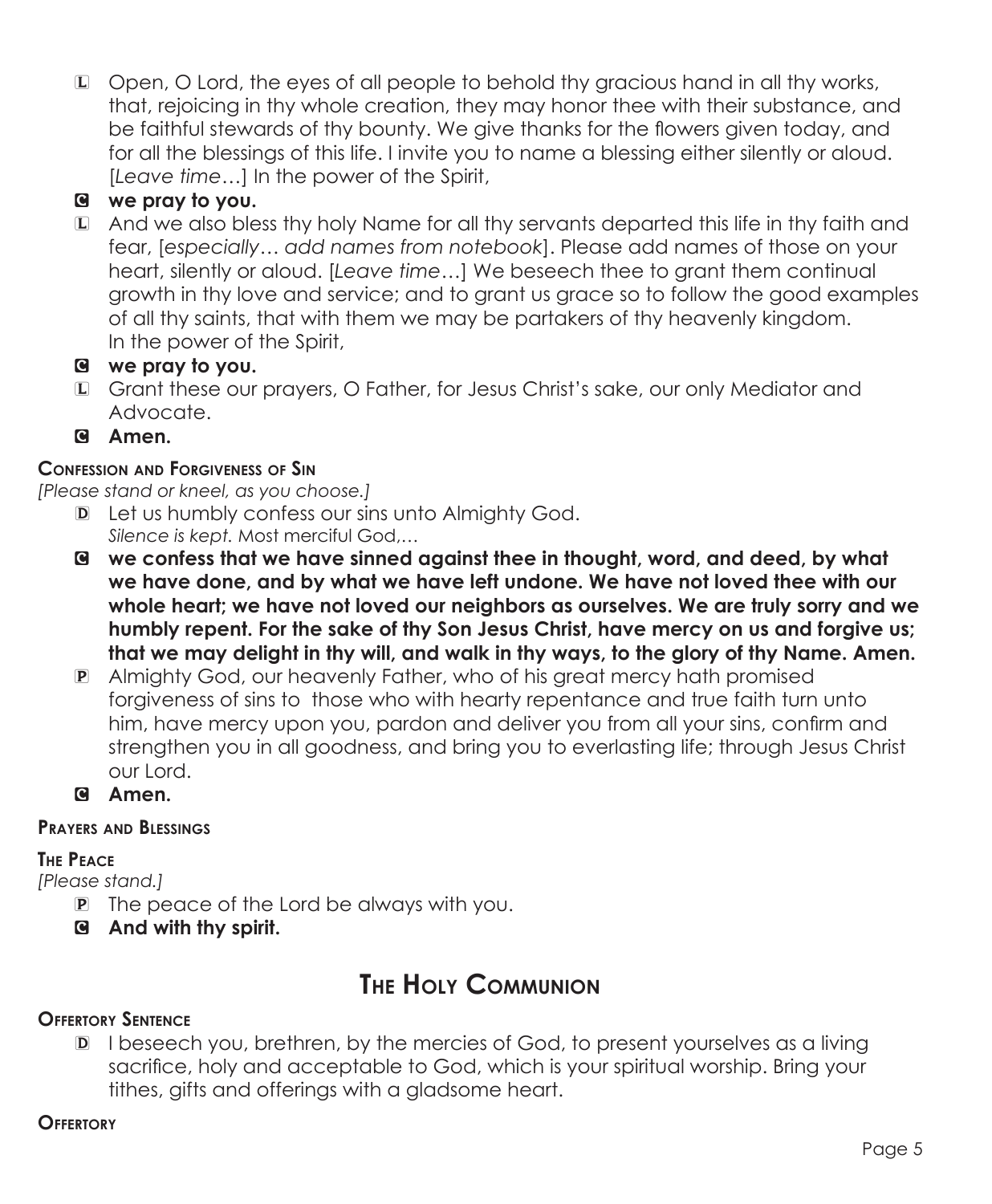L Open, O Lord, the eyes of all people to behold thy gracious hand in all thy works, that, rejoicing in thy whole creation, they may honor thee with their substance, and be faithful stewards of thy bounty. We give thanks for the flowers given today, and for all the blessings of this life. I invite you to name a blessing either silently or aloud. [*Leave time…*] In the power of the Spirit,

# C **we pray to you.**

L And we also bless thy holy Name for all thy servants departed this life in thy faith and fear, [*especially… add names from notebook*]. Please add names of those on your heart, silently or aloud. [*Leave time…*] We beseech thee to grant them continual growth in thy love and service; and to grant us grace so to follow the good examples of all thy saints, that with them we may be partakers of thy heavenly kingdom. In the power of the Spirit,

# C **we pray to you.**

- L Grant these our prayers, O Father, for Jesus Christ's sake, our only Mediator and Advocate.
- C **Amen.**

# **Confession and Forgiveness of Sin**

*[Please stand or kneel, as you choose.]*

- D Let us humbly confess our sins unto Almighty God.  *Silence is kept.* Most merciful God,*…*
- C **we confess that we have sinned against thee in thought, word, and deed, by what we have done, and by what we have left undone. We have not loved thee with our whole heart; we have not loved our neighbors as ourselves. We are truly sorry and we humbly repent. For the sake of thy Son Jesus Christ, have mercy on us and forgive us; that we may delight in thy will, and walk in thy ways, to the glory of thy Name. Amen.**
- P Almighty God, our heavenly Father, who of his great mercy hath promised forgiveness of sins to those who with hearty repentance and true faith turn unto him, have mercy upon you, pardon and deliver you from all your sins, confirm and strengthen you in all goodness, and bring you to everlasting life; through Jesus Christ our Lord.
- C **Amen.**

# **Prayers and Blessings**

#### **The Peace**

*[Please stand.]*

- P The peace of the Lord be always with you.
- C **And with thy spirit.**

# **The Holy Communion**

# **Offertory Sentence**

D I beseech you, brethren, by the mercies of God, to present yourselves as a living sacrifice, holy and acceptable to God, which is your spiritual worship. Bring your tithes, gifts and offerings with a gladsome heart.

# **Offertory**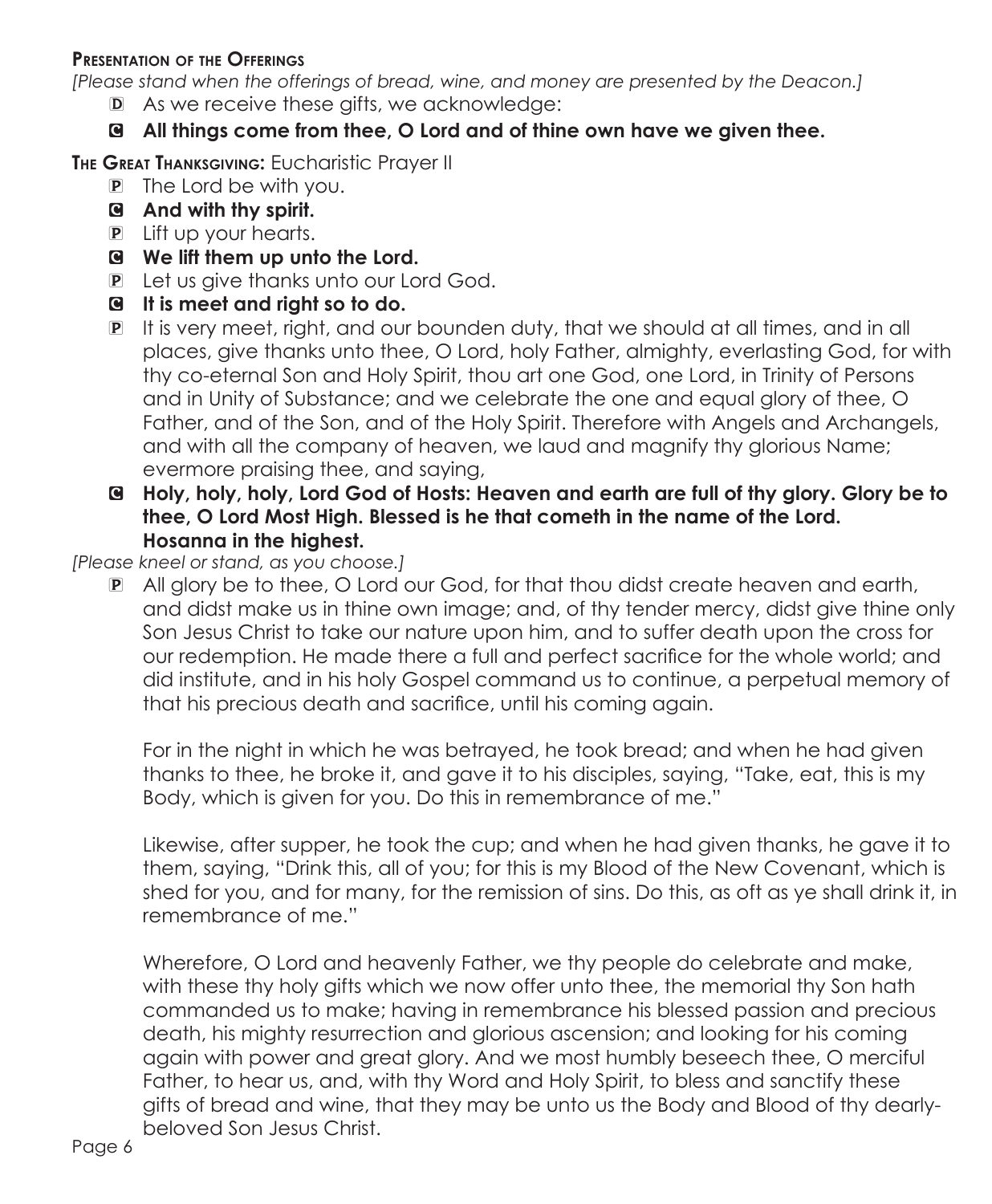#### **Presentation of the Offerings**

*[Please stand when the offerings of bread, wine, and money are presented by the Deacon.]*

D As we receive these gifts, we acknowledge:

# C **All things come from thee, O Lord and of thine own have we given thee.**

**The Great Thanksgiving:** Eucharistic Prayer II

- P The Lord be with you.
- C **And with thy spirit.**
- P Lift up your hearts.
- C **We lift them up unto the Lord.**
- P Let us give thanks unto our Lord God.
- C **It is meet and right so to do.**
- P It is very meet, right, and our bounden duty, that we should at all times, and in all places, give thanks unto thee, O Lord, holy Father, almighty, everlasting God, for with thy co-eternal Son and Holy Spirit, thou art one God, one Lord, in Trinity of Persons and in Unity of Substance; and we celebrate the one and equal glory of thee, O Father, and of the Son, and of the Holy Spirit. Therefore with Angels and Archangels, and with all the company of heaven, we laud and magnify thy glorious Name; evermore praising thee, and saying,
- C **Holy, holy, holy, Lord God of Hosts: Heaven and earth are full of thy glory. Glory be to thee, O Lord Most High. Blessed is he that cometh in the name of the Lord. Hosanna in the highest.**

*[Please kneel or stand, as you choose.]*

P All glory be to thee, O Lord our God, for that thou didst create heaven and earth, and didst make us in thine own image; and, of thy tender mercy, didst give thine only Son Jesus Christ to take our nature upon him, and to suffer death upon the cross for our redemption. He made there a full and perfect sacrifice for the whole world; and did institute, and in his holy Gospel command us to continue, a perpetual memory of that his precious death and sacrifice, until his coming again.

For in the night in which he was betrayed, he took bread; and when he had given thanks to thee, he broke it, and gave it to his disciples, saying, "Take, eat, this is my Body, which is given for you. Do this in remembrance of me."

 Likewise, after supper, he took the cup; and when he had given thanks, he gave it to them, saying, "Drink this, all of you; for this is my Blood of the New Covenant, which is shed for you, and for many, for the remission of sins. Do this, as oft as ye shall drink it, in remembrance of me."

Wherefore, O Lord and heavenly Father, we thy people do celebrate and make, with these thy holy gifts which we now offer unto thee, the memorial thy Son hath commanded us to make; having in remembrance his blessed passion and precious death, his mighty resurrection and glorious ascension; and looking for his coming again with power and great glory. And we most humbly beseech thee, O merciful Father, to hear us, and, with thy Word and Holy Spirit, to bless and sanctify these gifts of bread and wine, that they may be unto us the Body and Blood of thy dearlybeloved Son Jesus Christ.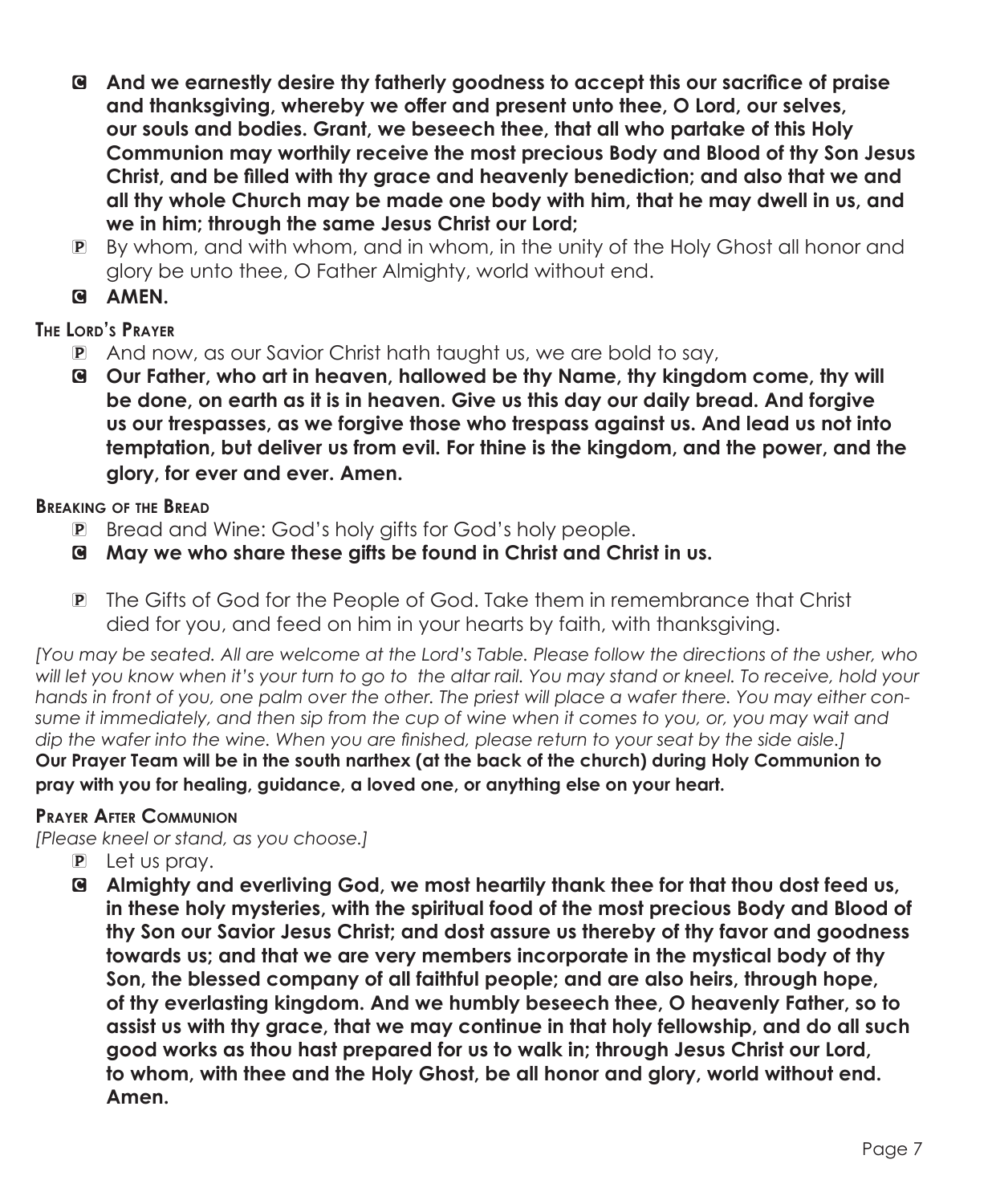- C **And we earnestly desire thy fatherly goodness to accept this our sacrifice of praise and thanksgiving, whereby we offer and present unto thee, O Lord, our selves, our souls and bodies. Grant, we beseech thee, that all who partake of this Holy Communion may worthily receive the most precious Body and Blood of thy Son Jesus Christ, and be filled with thy grace and heavenly benediction; and also that we and all thy whole Church may be made one body with him, that he may dwell in us, and we in him; through the same Jesus Christ our Lord;**
- P By whom, and with whom, and in whom, in the unity of the Holy Ghost all honor and glory be unto thee, O Father Almighty, world without end.
- C **AMEN.**

# **The Lord's Prayer**

- P And now, as our Savior Christ hath taught us, we are bold to say,
- C **Our Father, who art in heaven, hallowed be thy Name, thy kingdom come, thy will be done, on earth as it is in heaven. Give us this day our daily bread. And forgive us our trespasses, as we forgive those who trespass against us. And lead us not into temptation, but deliver us from evil. For thine is the kingdom, and the power, and the glory, for ever and ever. Amen.**

### **Breaking of the Bread**

- P Bread and Wine: God's holy gifts for God's holy people.
- C **May we who share these gifts be found in Christ and Christ in us.**
- P The Gifts of God for the People of God. Take them in remembrance that Christ died for you, and feed on him in your hearts by faith, with thanksgiving.

*[You may be seated. All are welcome at the Lord's Table. Please follow the directions of the usher, who will let you know when it's your turn to go to the altar rail. You may stand or kneel. To receive, hold your hands in front of you, one palm over the other. The priest will place a wafer there. You may either consume it immediately, and then sip from the cup of wine when it comes to you, or, you may wait and dip the wafer into the wine. When you are finished, please return to your seat by the side aisle.]* **Our Prayer Team will be in the south narthex (at the back of the church) during Holy Communion to pray with you for healing, guidance, a loved one, or anything else on your heart.** 

#### **Prayer After Communion**

*[Please kneel or stand, as you choose.]*

- P Let us pray.
- C **Almighty and everliving God, we most heartily thank thee for that thou dost feed us, in these holy mysteries, with the spiritual food of the most precious Body and Blood of thy Son our Savior Jesus Christ; and dost assure us thereby of thy favor and goodness towards us; and that we are very members incorporate in the mystical body of thy Son, the blessed company of all faithful people; and are also heirs, through hope, of thy everlasting kingdom. And we humbly beseech thee, O heavenly Father, so to assist us with thy grace, that we may continue in that holy fellowship, and do all such good works as thou hast prepared for us to walk in; through Jesus Christ our Lord, to whom, with thee and the Holy Ghost, be all honor and glory, world without end. Amen.**